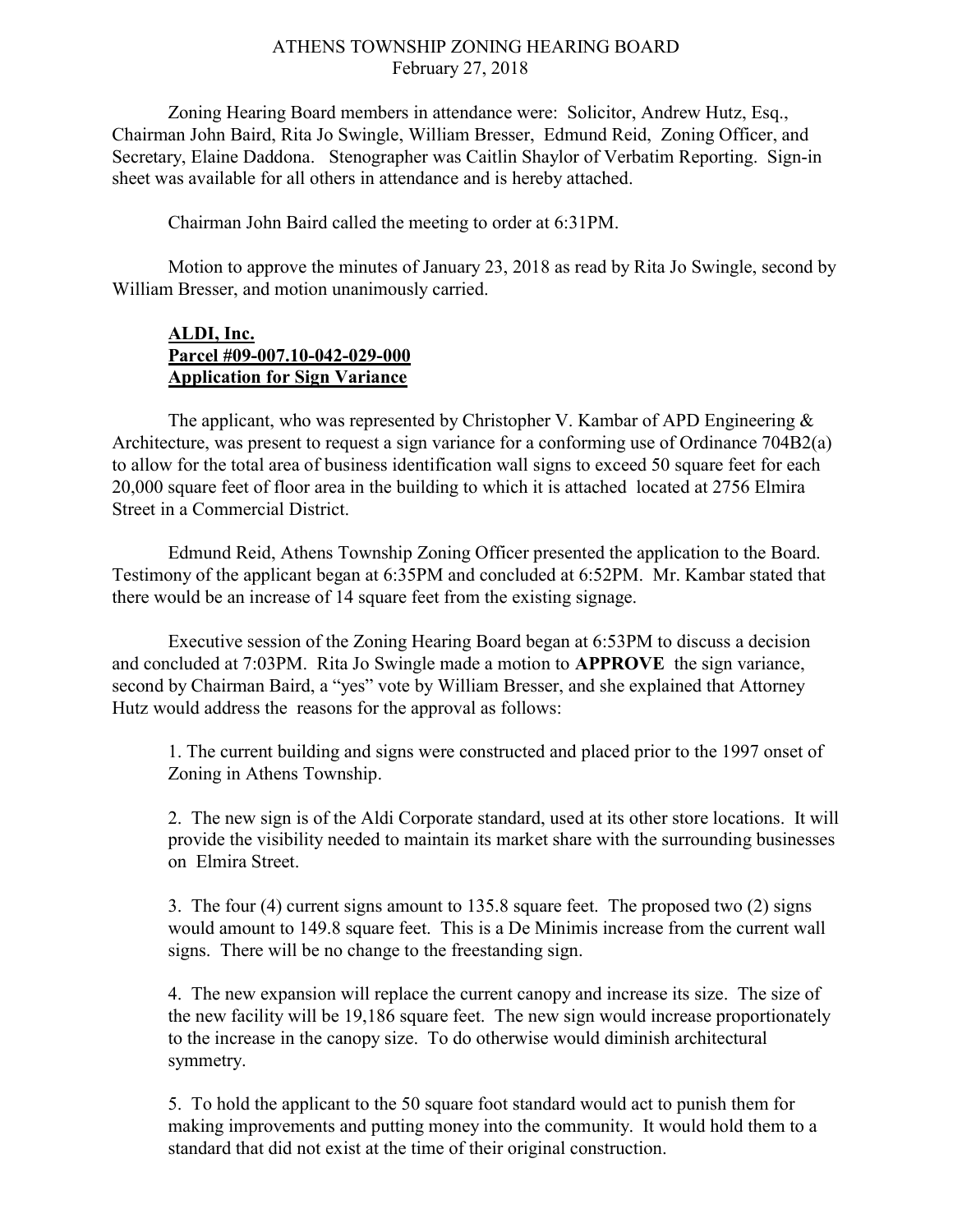## ATHENS TOWNSHIP ZONING HEARING BOARD February 27, 2018

Zoning Hearing Board members in attendance were: Solicitor, Andrew Hutz, Esq., Chairman John Baird, Rita Jo Swingle, William Bresser, Edmund Reid, Zoning Officer, and Secretary, Elaine Daddona. Stenographer was Caitlin Shaylor of Verbatim Reporting. Sign-in sheet was available for all others in attendance and is hereby attached.

Chairman John Baird called the meeting to order at 6:31PM.

Motion to approve the minutes of January 23, 2018 as read by Rita Jo Swingle, second by William Bresser, and motion unanimously carried.

## ALDI, Inc. Parcel #09-007.10-042-029-000 Application for Sign Variance

The applicant, who was represented by Christopher V. Kambar of APD Engineering  $\&$ Architecture, was present to request a sign variance for a conforming use of Ordinance 704B2(a) to allow for the total area of business identification wall signs to exceed 50 square feet for each 20,000 square feet of floor area in the building to which it is attached located at 2756 Elmira Street in a Commercial District.

Edmund Reid, Athens Township Zoning Officer presented the application to the Board. Testimony of the applicant began at 6:35PM and concluded at 6:52PM. Mr. Kambar stated that there would be an increase of 14 square feet from the existing signage.

Executive session of the Zoning Hearing Board began at 6:53PM to discuss a decision and concluded at 7:03PM. Rita Jo Swingle made a motion to APPROVE the sign variance, second by Chairman Baird, a "yes" vote by William Bresser, and she explained that Attorney Hutz would address the reasons for the approval as follows:

1. The current building and signs were constructed and placed prior to the 1997 onset of Zoning in Athens Township.

2. The new sign is of the Aldi Corporate standard, used at its other store locations. It will provide the visibility needed to maintain its market share with the surrounding businesses on Elmira Street.

3. The four (4) current signs amount to 135.8 square feet. The proposed two (2) signs would amount to 149.8 square feet. This is a De Minimis increase from the current wall signs. There will be no change to the freestanding sign.

4. The new expansion will replace the current canopy and increase its size. The size of the new facility will be 19,186 square feet. The new sign would increase proportionately to the increase in the canopy size. To do otherwise would diminish architectural symmetry.

5. To hold the applicant to the 50 square foot standard would act to punish them for making improvements and putting money into the community. It would hold them to a standard that did not exist at the time of their original construction.